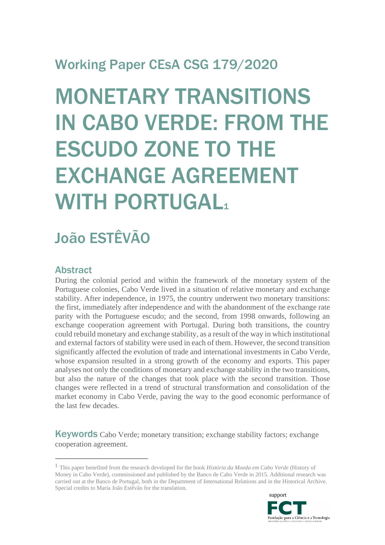# Working Paper CEsA CSG 179/2020

# MONETARY TRANSITIONS IN CABO VERDE: FROM THE ESCUDO ZONE TO THE EXCHANGE AGREEMENT WITH PORTUGAL1

# João ESTÊVÃO

## Abstract

During the colonial period and within the framework of the monetary system of the Portuguese colonies, Cabo Verde lived in a situation of relative monetary and exchange stability. After independence, in 1975, the country underwent two monetary transitions: the first, immediately after independence and with the abandonment of the exchange rate parity with the Portuguese escudo; and the second, from 1998 onwards, following an exchange cooperation agreement with Portugal. During both transitions, the country could rebuild monetary and exchange stability, as a result of the way in which institutional and external factors of stability were used in each of them. However, the second transition significantly affected the evolution of trade and international investments in Cabo Verde, whose expansion resulted in a strong growth of the economy and exports. This paper analyses not only the conditions of monetary and exchange stability in the two transitions, but also the nature of the changes that took place with the second transition. Those changes were reflected in a trend of structural transformation and consolidation of the market economy in Cabo Verde, paving the way to the good economic performance of the last few decades.

Keywords Cabo Verde; monetary transition; exchange stability factors; exchange cooperation agreement.

<sup>1</sup> This paper benefited from the research developed for the book *História da Moeda em Cabo Verde* (History of Money in Cabo Verde), commissioned and published by the Banco de Cabo Verde in 2015. Additional research was carried out at the Banco de Portugal, both in the Department of International Relations and in the Historical Archive. Special credits to Maria João Estêvão for the translation.

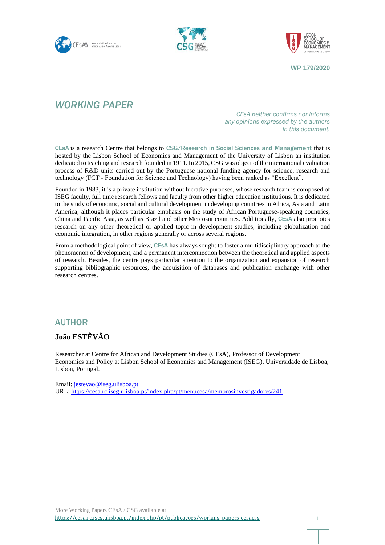





## *WORKING PAPER*

*CEsA neither confirms nor informs any opinions expressed by the authors in this document.*

CEsA is a research Centre that belongs to CSG/Research in Social Sciences and Management that is hosted by the Lisbon School of Economics and Management of the University of Lisbon an institution dedicated to teaching and research founded in 1911. In 2015, CSG was object of the international evaluation process of R&D units carried out by the Portuguese national funding agency for science, research and technology (FCT - Foundation for Science and Technology) having been ranked as "Excellent".

Founded in 1983, it is a private institution without lucrative purposes, whose research team is composed of ISEG faculty, full time research fellows and faculty from other higher education institutions. It is dedicated to the study of economic, social and cultural development in developing countries in Africa, Asia and Latin America, although it places particular emphasis on the study of African Portuguese-speaking countries, China and Pacific Asia, as well as Brazil and other Mercosur countries. Additionally, CEsA also promotes research on any other theoretical or applied topic in development studies, including globalization and economic integration, in other regions generally or across several regions.

From a methodological point of view, CEsA has always sought to foster a multidisciplinary approach to the phenomenon of development, and a permanent interconnection between the theoretical and applied aspects of research. Besides, the centre pays particular attention to the organization and expansion of research supporting bibliographic resources, the acquisition of databases and publication exchange with other research centres.

#### AUTHOR

#### **João ESTÊVÃO**

Researcher at Centre for African and Development Studies (CEsA), Professor of Development Economics and Policy at Lisbon School of Economics and Management (ISEG), Universidade de Lisboa, Lisbon, Portugal.

Email: [jestevao@iseg.ulisboa.pt](mailto:jestevao@iseg.ulisboa.pt) URL:<https://cesa.rc.iseg.ulisboa.pt/index.php/pt/menucesa/membrosinvestigadores/241>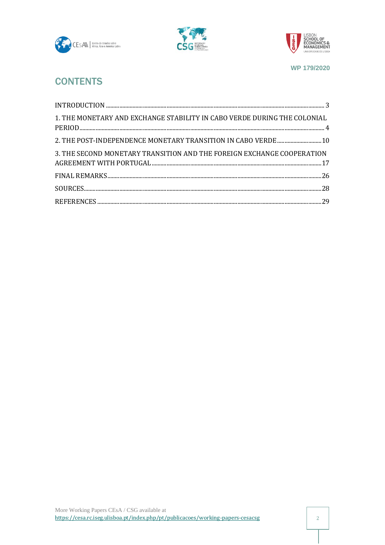





## **CONTENTS**

| 1. THE MONETARY AND EXCHANGE STABILITY IN CABO VERDE DURING THE COLONIAL |  |
|--------------------------------------------------------------------------|--|
| 2. THE POST-INDEPENDENCE MONETARY TRANSITION IN CABO VERDE  10           |  |
| 3. THE SECOND MONETARY TRANSITION AND THE FOREIGN EXCHANGE COOPERATION   |  |
|                                                                          |  |
|                                                                          |  |
|                                                                          |  |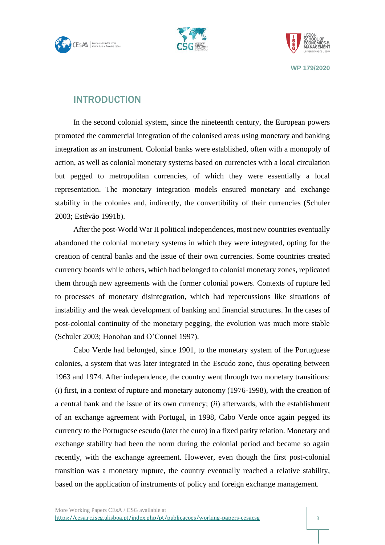





## <span id="page-3-0"></span>INTRODUCTION

In the second colonial system, since the nineteenth century, the European powers promoted the commercial integration of the colonised areas using monetary and banking integration as an instrument. Colonial banks were established, often with a monopoly of action, as well as colonial monetary systems based on currencies with a local circulation but pegged to metropolitan currencies, of which they were essentially a local representation. The monetary integration models ensured monetary and exchange stability in the colonies and, indirectly, the convertibility of their currencies (Schuler 2003; Estêvão 1991b).

After the post-World War II political independences, most new countries eventually abandoned the colonial monetary systems in which they were integrated, opting for the creation of central banks and the issue of their own currencies. Some countries created currency boards while others, which had belonged to colonial monetary zones, replicated them through new agreements with the former colonial powers. Contexts of rupture led to processes of monetary disintegration, which had repercussions like situations of instability and the weak development of banking and financial structures. In the cases of post-colonial continuity of the monetary pegging, the evolution was much more stable (Schuler 2003; Honohan and O'Connel 1997).

Cabo Verde had belonged, since 1901, to the monetary system of the Portuguese colonies, a system that was later integrated in the Escudo zone, thus operating between 1963 and 1974. After independence, the country went through two monetary transitions: (*i*) first, in a context of rupture and monetary autonomy (1976-1998), with the creation of a central bank and the issue of its own currency; (*ii*) afterwards, with the establishment of an exchange agreement with Portugal, in 1998, Cabo Verde once again pegged its currency to the Portuguese escudo (later the euro) in a fixed parity relation. Monetary and exchange stability had been the norm during the colonial period and became so again recently, with the exchange agreement. However, even though the first post-colonial transition was a monetary rupture, the country eventually reached a relative stability, based on the application of instruments of policy and foreign exchange management.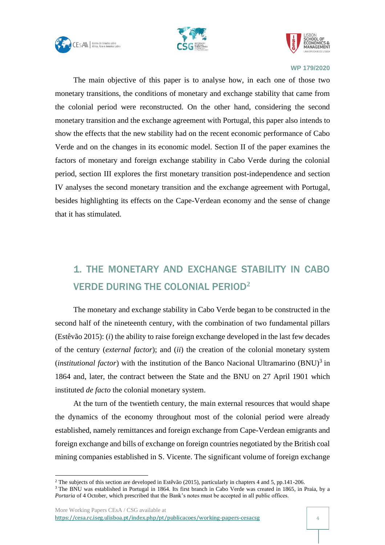





The main objective of this paper is to analyse how, in each one of those two monetary transitions, the conditions of monetary and exchange stability that came from the colonial period were reconstructed. On the other hand, considering the second monetary transition and the exchange agreement with Portugal, this paper also intends to show the effects that the new stability had on the recent economic performance of Cabo Verde and on the changes in its economic model. Section II of the paper examines the factors of monetary and foreign exchange stability in Cabo Verde during the colonial period, section III explores the first monetary transition post-independence and section IV analyses the second monetary transition and the exchange agreement with Portugal, besides highlighting its effects on the Cape-Verdean economy and the sense of change that it has stimulated.

## <span id="page-4-0"></span>1. THE MONETARY AND EXCHANGE STABILITY IN CABO VERDE DURING THE COLONIAL PERIOD**<sup>2</sup>**

The monetary and exchange stability in Cabo Verde began to be constructed in the second half of the nineteenth century, with the combination of two fundamental pillars (Estêvão 2015): (*i*) the ability to raise foreign exchange developed in the last few decades of the century (*external factor*); and (*ii*) the creation of the colonial monetary system (*institutional factor*) with the institution of the Banco Nacional Ultramarino  $(BNU)^3$  in 1864 and, later, the contract between the State and the BNU on 27 April 1901 which instituted *de facto* the colonial monetary system.

At the turn of the twentieth century, the main external resources that would shape the dynamics of the economy throughout most of the colonial period were already established, namely remittances and foreign exchange from Cape-Verdean emigrants and foreign exchange and bills of exchange on foreign countries negotiated by the British coal mining companies established in S. Vicente. The significant volume of foreign exchange

<sup>2</sup> The subjects of this section are developed in Estêvão (2015), particularly in chapters 4 and 5, pp.141-206.

<sup>&</sup>lt;sup>3</sup> The BNU was established in Portugal in 1864. Its first branch in Cabo Verde was created in 1865, in Praia, by a *Portaria* of 4 October, which prescribed that the Bank's notes must be accepted in all public offices.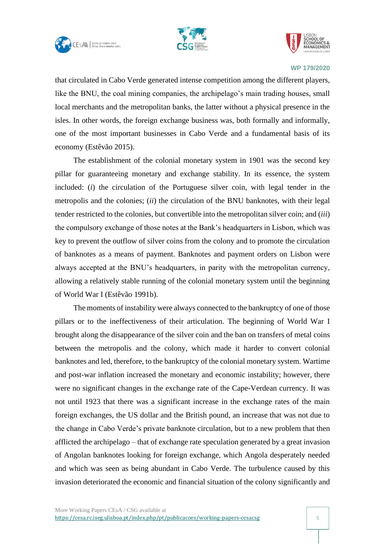





that circulated in Cabo Verde generated intense competition among the different players, like the BNU, the coal mining companies, the archipelago's main trading houses, small local merchants and the metropolitan banks, the latter without a physical presence in the isles. In other words, the foreign exchange business was, both formally and informally, one of the most important businesses in Cabo Verde and a fundamental basis of its economy (Estêvão 2015).

The establishment of the colonial monetary system in 1901 was the second key pillar for guaranteeing monetary and exchange stability. In its essence, the system included: (*i*) the circulation of the Portuguese silver coin, with legal tender in the metropolis and the colonies; (*ii*) the circulation of the BNU banknotes, with their legal tender restricted to the colonies, but convertible into the metropolitan silver coin; and (*iii*) the compulsory exchange of those notes at the Bank's headquarters in Lisbon, which was key to prevent the outflow of silver coins from the colony and to promote the circulation of banknotes as a means of payment. Banknotes and payment orders on Lisbon were always accepted at the BNU's headquarters, in parity with the metropolitan currency, allowing a relatively stable running of the colonial monetary system until the beginning of World War I (Estêvão 1991b).

The moments of instability were always connected to the bankruptcy of one of those pillars or to the ineffectiveness of their articulation. The beginning of World War I brought along the disappearance of the silver coin and the ban on transfers of metal coins between the metropolis and the colony, which made it harder to convert colonial banknotes and led, therefore, to the bankruptcy of the colonial monetary system. Wartime and post-war inflation increased the monetary and economic instability; however, there were no significant changes in the exchange rate of the Cape-Verdean currency. It was not until 1923 that there was a significant increase in the exchange rates of the main foreign exchanges, the US dollar and the British pound, an increase that was not due to the change in Cabo Verde's private banknote circulation, but to a new problem that then afflicted the archipelago – that of exchange rate speculation generated by a great invasion of Angolan banknotes looking for foreign exchange, which Angola desperately needed and which was seen as being abundant in Cabo Verde. The turbulence caused by this invasion deteriorated the economic and financial situation of the colony significantly and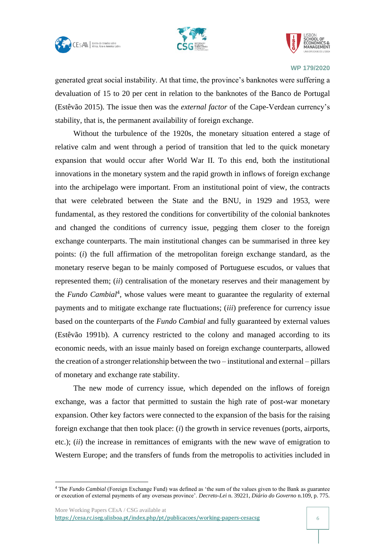





generated great social instability. At that time, the province's banknotes were suffering a devaluation of 15 to 20 per cent in relation to the banknotes of the Banco de Portugal (Estêvão 2015). The issue then was the *external factor* of the Cape-Verdean currency's stability, that is, the permanent availability of foreign exchange.

Without the turbulence of the 1920s, the monetary situation entered a stage of relative calm and went through a period of transition that led to the quick monetary expansion that would occur after World War II. To this end, both the institutional innovations in the monetary system and the rapid growth in inflows of foreign exchange into the archipelago were important. From an institutional point of view, the contracts that were celebrated between the State and the BNU, in 1929 and 1953, were fundamental, as they restored the conditions for convertibility of the colonial banknotes and changed the conditions of currency issue, pegging them closer to the foreign exchange counterparts. The main institutional changes can be summarised in three key points: (*i*) the full affirmation of the metropolitan foreign exchange standard, as the monetary reserve began to be mainly composed of Portuguese escudos, or values that represented them; (*ii*) centralisation of the monetary reserves and their management by the *Fundo Cambial<sup>4</sup>*, whose values were meant to guarantee the regularity of external payments and to mitigate exchange rate fluctuations; (*iii*) preference for currency issue based on the counterparts of the *Fundo Cambial* and fully guaranteed by external values (Estêvão 1991b). A currency restricted to the colony and managed according to its economic needs, with an issue mainly based on foreign exchange counterparts, allowed the creation of a stronger relationship between the two – institutional and external – pillars of monetary and exchange rate stability.

The new mode of currency issue, which depended on the inflows of foreign exchange, was a factor that permitted to sustain the high rate of post-war monetary expansion. Other key factors were connected to the expansion of the basis for the raising foreign exchange that then took place: (*i*) the growth in service revenues (ports, airports, etc.); (*ii*) the increase in remittances of emigrants with the new wave of emigration to Western Europe; and the transfers of funds from the metropolis to activities included in

<sup>4</sup> The *Fundo Cambial* (Foreign Exchange Fund) was defined as 'the sum of the values given to the Bank as guarantee or execution of external payments of any overseas province'. *Decreto-Lei* n. 39221, *Diário do Governo* n.109, p. 775.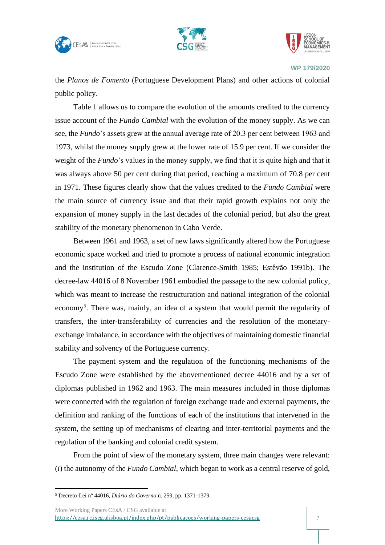





the *Planos de Fomento* (Portuguese Development Plans) and other actions of colonial public policy.

Table 1 allows us to compare the evolution of the amounts credited to the currency issue account of the *Fundo Cambial* with the evolution of the money supply. As we can see, the *Fundo*'s assets grew at the annual average rate of 20.3 per cent between 1963 and 1973, whilst the money supply grew at the lower rate of 15.9 per cent. If we consider the weight of the *Fundo*'s values in the money supply, we find that it is quite high and that it was always above 50 per cent during that period, reaching a maximum of 70.8 per cent in 1971. These figures clearly show that the values credited to the *Fundo Cambial* were the main source of currency issue and that their rapid growth explains not only the expansion of money supply in the last decades of the colonial period, but also the great stability of the monetary phenomenon in Cabo Verde.

Between 1961 and 1963, a set of new laws significantly altered how the Portuguese economic space worked and tried to promote a process of national economic integration and the institution of the Escudo Zone (Clarence-Smith 1985; Estêvão 1991b). The decree-law 44016 of 8 November 1961 embodied the passage to the new colonial policy, which was meant to increase the restructuration and national integration of the colonial economy<sup>5</sup>. There was, mainly, an idea of a system that would permit the regularity of transfers, the inter-transferability of currencies and the resolution of the monetaryexchange imbalance, in accordance with the objectives of maintaining domestic financial stability and solvency of the Portuguese currency.

The payment system and the regulation of the functioning mechanisms of the Escudo Zone were established by the abovementioned decree 44016 and by a set of diplomas published in 1962 and 1963. The main measures included in those diplomas were connected with the regulation of foreign exchange trade and external payments, the definition and ranking of the functions of each of the institutions that intervened in the system, the setting up of mechanisms of clearing and inter-territorial payments and the regulation of the banking and colonial credit system.

From the point of view of the monetary system, three main changes were relevant: (*i*) the autonomy of the *Fundo Cambial*, which began to work as a central reserve of gold,

<sup>5</sup> Decreto-Lei nº 44016, *Diário do Governo* n. 259, pp. 1371-1379.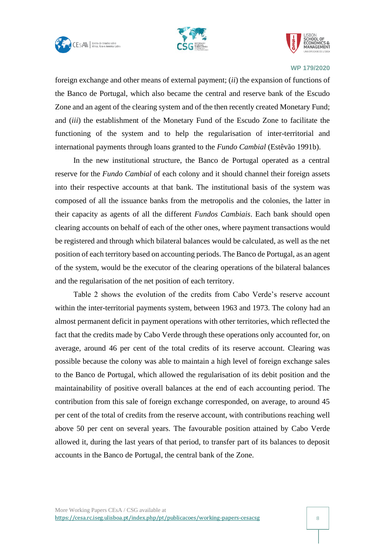





foreign exchange and other means of external payment; (*ii*) the expansion of functions of the Banco de Portugal, which also became the central and reserve bank of the Escudo Zone and an agent of the clearing system and of the then recently created Monetary Fund; and (*iii*) the establishment of the Monetary Fund of the Escudo Zone to facilitate the functioning of the system and to help the regularisation of inter-territorial and international payments through loans granted to the *Fundo Cambial* (Estêvão 1991b).

In the new institutional structure, the Banco de Portugal operated as a central reserve for the *Fundo Cambial* of each colony and it should channel their foreign assets into their respective accounts at that bank. The institutional basis of the system was composed of all the issuance banks from the metropolis and the colonies, the latter in their capacity as agents of all the different *Fundos Cambiais*. Each bank should open clearing accounts on behalf of each of the other ones, where payment transactions would be registered and through which bilateral balances would be calculated, as well as the net position of each territory based on accounting periods. The Banco de Portugal, as an agent of the system, would be the executor of the clearing operations of the bilateral balances and the regularisation of the net position of each territory.

Table 2 shows the evolution of the credits from Cabo Verde's reserve account within the inter-territorial payments system, between 1963 and 1973. The colony had an almost permanent deficit in payment operations with other territories, which reflected the fact that the credits made by Cabo Verde through these operations only accounted for, on average, around 46 per cent of the total credits of its reserve account. Clearing was possible because the colony was able to maintain a high level of foreign exchange sales to the Banco de Portugal, which allowed the regularisation of its debit position and the maintainability of positive overall balances at the end of each accounting period. The contribution from this sale of foreign exchange corresponded, on average, to around 45 per cent of the total of credits from the reserve account, with contributions reaching well above 50 per cent on several years. The favourable position attained by Cabo Verde allowed it, during the last years of that period, to transfer part of its balances to deposit accounts in the Banco de Portugal, the central bank of the Zone.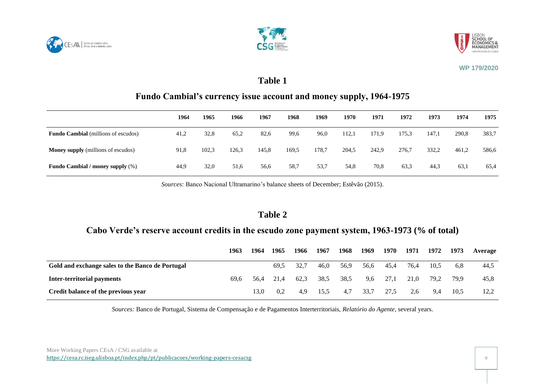





#### **Table 1**

## **Fundo Cambial's currency issue account and money supply, 1964-1975**

|                                            | 1964 | 1965  | 1966  | 1967  | 1968  | 1969  | 1970  | 1971  | 1972  | 1973  | 1974  | 1975  |
|--------------------------------------------|------|-------|-------|-------|-------|-------|-------|-------|-------|-------|-------|-------|
| <b>Fundo Cambial</b> (millions of escudos) | 41,2 | 32,8  | 65,2  | 82,6  | 99,6  | 96,0  | 112,1 | 171,9 | 175,3 | 147.1 | 290,8 | 383,7 |
| <b>Money supply</b> (millions of escudos)  | 91,8 | 102,3 | 126,3 | 145,8 | 169,5 | 178,7 | 204,5 | 242,9 | 276,7 | 332,2 | 461,2 | 586,6 |
| <b>Fundo Cambial / money supply (%)</b>    | 44,9 | 32,0  | 51,6  | 56,6  | 58.7  | 53.7  | 54,8  | 70,8  | 63,3  | 44,3  | 63,1  | 65,4  |

*Sources:* Banco Nacional Ultramarino's balance sheets of December; Estêvão (2015).

#### **Table 2**

#### **Cabo Verde's reserve account credits in the escudo zone payment system, 1963-1973 (% of total)**

|                                                  | 1963 | 1964 | 1965 | 1966 | 1967 | 1968 | 1969 | 1970 | 1971 | 1972 | 1973 | Average |
|--------------------------------------------------|------|------|------|------|------|------|------|------|------|------|------|---------|
| Gold and exchange sales to the Banco de Portugal |      |      | 69.5 | 32.7 | 46.0 | 56,9 | 56,6 | 45.4 | 76.4 | 10.5 | 6.8  | 44,5    |
| <b>Inter-territorial payments</b>                | 69.6 | 56.4 | 21.4 | 62.3 | 38.5 | 38.5 | 9.6  | 27,1 | 21.0 | 79.2 | 79.9 | 45,8    |
| Credit balance of the previous year              |      | 3.0  | 0.2  | 4.9  | 15,5 | 4,7  | 33,7 | 27,5 | 2.6  | 9.4  | 10.5 | 12,2    |

*Sources:* Banco de Portugal, Sistema de Compensação e de Pagamentos Interterritoriais, *Relatório do Agente*, several years.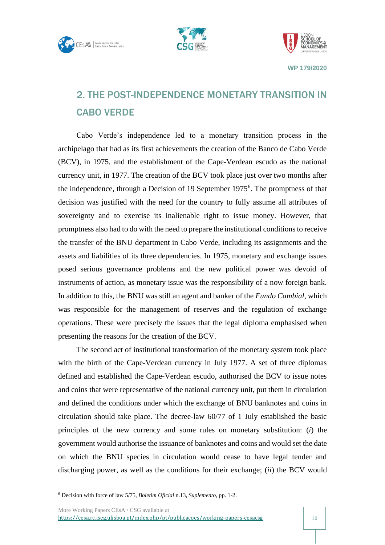





## <span id="page-10-0"></span>2. THE POST-INDEPENDENCE MONETARY TRANSITION IN CABO VERDE

Cabo Verde's independence led to a monetary transition process in the archipelago that had as its first achievements the creation of the Banco de Cabo Verde (BCV), in 1975, and the establishment of the Cape-Verdean escudo as the national currency unit, in 1977. The creation of the BCV took place just over two months after the independence, through a Decision of 19 September 1975<sup>6</sup>. The promptness of that decision was justified with the need for the country to fully assume all attributes of sovereignty and to exercise its inalienable right to issue money. However, that promptness also had to do with the need to prepare the institutional conditions to receive the transfer of the BNU department in Cabo Verde, including its assignments and the assets and liabilities of its three dependencies. In 1975, monetary and exchange issues posed serious governance problems and the new political power was devoid of instruments of action, as monetary issue was the responsibility of a now foreign bank. In addition to this, the BNU was still an agent and banker of the *Fundo Cambial*, which was responsible for the management of reserves and the regulation of exchange operations. These were precisely the issues that the legal diploma emphasised when presenting the reasons for the creation of the BCV.

The second act of institutional transformation of the monetary system took place with the birth of the Cape-Verdean currency in July 1977. A set of three diplomas defined and established the Cape-Verdean escudo, authorised the BCV to issue notes and coins that were representative of the national currency unit, put them in circulation and defined the conditions under which the exchange of BNU banknotes and coins in circulation should take place. The decree-law 60/77 of 1 July established the basic principles of the new currency and some rules on monetary substitution: (*i*) the government would authorise the issuance of banknotes and coins and would set the date on which the BNU species in circulation would cease to have legal tender and discharging power, as well as the conditions for their exchange; (*ii*) the BCV would

More Working Papers CEsA / CSG available at <https://cesa.rc.iseg.ulisboa.pt/index.php/pt/publicacoes/working-papers-cesacsg> 10

<sup>6</sup> Decision with force of law 5/75, *Boletim Oficial* n.13, *Suplemento*, pp. 1-2.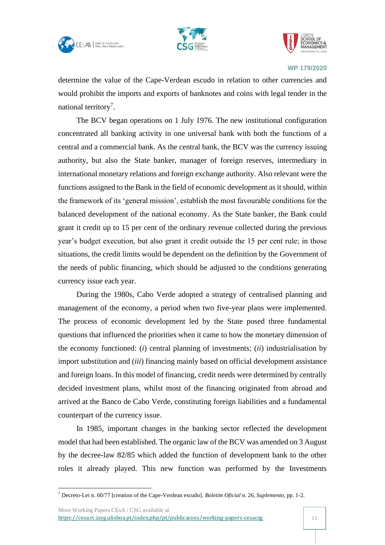





determine the value of the Cape-Verdean escudo in relation to other currencies and would prohibit the imports and exports of banknotes and coins with legal tender in the national territory<sup>7</sup>.

The BCV began operations on 1 July 1976. The new institutional configuration concentrated all banking activity in one universal bank with both the functions of a central and a commercial bank. As the central bank, the BCV was the currency issuing authority, but also the State banker, manager of foreign reserves, intermediary in international monetary relations and foreign exchange authority. Also relevant were the functions assigned to the Bank in the field of economic development as it should, within the framework of its 'general mission', establish the most favourable conditions for the balanced development of the national economy. As the State banker, the Bank could grant it credit up to 15 per cent of the ordinary revenue collected during the previous year's budget execution, but also grant it credit outside the 15 per cent rule; in those situations, the credit limits would be dependent on the definition by the Government of the needs of public financing, which should be adjusted to the conditions generating currency issue each year.

During the 1980s, Cabo Verde adopted a strategy of centralised planning and management of the economy, a period when two five-year plans were implemented. The process of economic development led by the State posed three fundamental questions that influenced the priorities when it came to how the monetary dimension of the economy functioned: (*i*) central planning of investments; (*ii*) industrialisation by import substitution and (*iii*) financing mainly based on official development assistance and foreign loans. In this model of financing, credit needs were determined by centrally decided investment plans, whilst most of the financing originated from abroad and arrived at the Banco de Cabo Verde, constituting foreign liabilities and a fundamental counterpart of the currency issue.

In 1985, important changes in the banking sector reflected the development model that had been established. The organic law of the BCV was amended on 3 August by the decree-law 82/85 which added the function of development bank to the other roles it already played. This new function was performed by the Investments

More Working Papers CEsA / CSG available at

<sup>7</sup> Decreto-Lei n. 60/77 [creation of the Cape-Verdean escudo]*. Boletim Oficial* n. 26, *Suplemento*, pp. 1-2.

<https://cesa.rc.iseg.ulisboa.pt/index.php/pt/publicacoes/working-papers-cesacsg> 11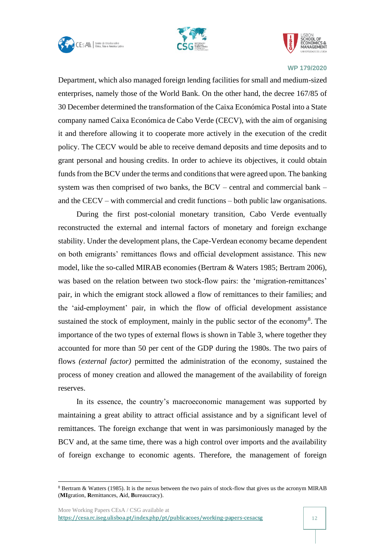





Department, which also managed foreign lending facilities for small and medium-sized enterprises, namely those of the World Bank. On the other hand, the decree 167/85 of 30 December determined the transformation of the Caixa Económica Postal into a State company named Caixa Económica de Cabo Verde (CECV), with the aim of organising it and therefore allowing it to cooperate more actively in the execution of the credit policy. The CECV would be able to receive demand deposits and time deposits and to grant personal and housing credits. In order to achieve its objectives, it could obtain funds from the BCV under the terms and conditions that were agreed upon. The banking system was then comprised of two banks, the BCV – central and commercial bank – and the CECV – with commercial and credit functions – both public law organisations.

During the first post-colonial monetary transition, Cabo Verde eventually reconstructed the external and internal factors of monetary and foreign exchange stability. Under the development plans, the Cape-Verdean economy became dependent on both emigrants' remittances flows and official development assistance. This new model, like the so-called MIRAB economies (Bertram & Waters 1985; Bertram 2006), was based on the relation between two stock-flow pairs: the 'migration-remittances' pair, in which the emigrant stock allowed a flow of remittances to their families; and the 'aid-employment' pair, in which the flow of official development assistance sustained the stock of employment, mainly in the public sector of the economy<sup>8</sup>. The importance of the two types of external flows is shown in Table 3, where together they accounted for more than 50 per cent of the GDP during the 1980s. The two pairs of flows *(external factor)* permitted the administration of the economy, sustained the process of money creation and allowed the management of the availability of foreign reserves.

In its essence, the country's macroeconomic management was supported by maintaining a great ability to attract official assistance and by a significant level of remittances. The foreign exchange that went in was parsimoniously managed by the BCV and, at the same time, there was a high control over imports and the availability of foreign exchange to economic agents. Therefore, the management of foreign

<sup>8</sup> Bertram & Watters (1985). It is the nexus between the two pairs of stock-flow that gives us the acronym MIRAB (**MI**gration, **R**emittances, **A**id, **B**ureaucracy).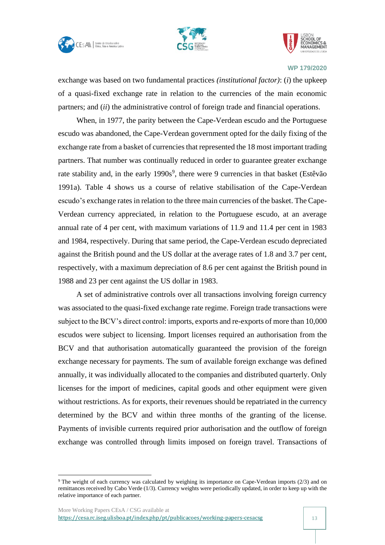





exchange was based on two fundamental practices *(institutional factor)*: (*i*) the upkeep of a quasi-fixed exchange rate in relation to the currencies of the main economic partners; and (*ii*) the administrative control of foreign trade and financial operations.

When, in 1977, the parity between the Cape-Verdean escudo and the Portuguese escudo was abandoned, the Cape-Verdean government opted for the daily fixing of the exchange rate from a basket of currencies that represented the 18 most important trading partners. That number was continually reduced in order to guarantee greater exchange rate stability and, in the early 1990s<sup>9</sup>, there were 9 currencies in that basket (Estêvão 1991a). Table 4 shows us a course of relative stabilisation of the Cape-Verdean escudo's exchange rates in relation to the three main currencies of the basket. The Cape-Verdean currency appreciated, in relation to the Portuguese escudo, at an average annual rate of 4 per cent, with maximum variations of 11.9 and 11.4 per cent in 1983 and 1984, respectively. During that same period, the Cape-Verdean escudo depreciated against the British pound and the US dollar at the average rates of 1.8 and 3.7 per cent, respectively, with a maximum depreciation of 8.6 per cent against the British pound in 1988 and 23 per cent against the US dollar in 1983.

A set of administrative controls over all transactions involving foreign currency was associated to the quasi-fixed exchange rate regime. Foreign trade transactions were subject to the BCV's direct control: imports, exports and re-exports of more than 10,000 escudos were subject to licensing. Import licenses required an authorisation from the BCV and that authorisation automatically guaranteed the provision of the foreign exchange necessary for payments. The sum of available foreign exchange was defined annually, it was individually allocated to the companies and distributed quarterly. Only licenses for the import of medicines, capital goods and other equipment were given without restrictions. As for exports, their revenues should be repatriated in the currency determined by the BCV and within three months of the granting of the license. Payments of invisible currents required prior authorisation and the outflow of foreign exchange was controlled through limits imposed on foreign travel. Transactions of

<sup>9</sup> The weight of each currency was calculated by weighing its importance on Cape-Verdean imports (2/3) and on remittances received by Cabo Verde (1/3). Currency weights were periodically updated, in order to keep up with the relative importance of each partner.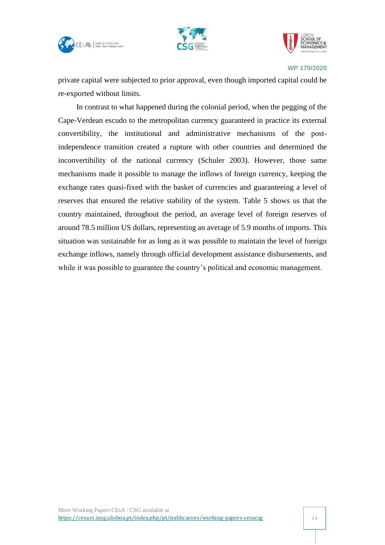





private capital were subjected to prior approval, even though imported capital could be re-exported without limits.

In contrast to what happened during the colonial period, when the pegging of the Cape-Verdean escudo to the metropolitan currency guaranteed in practice its external convertibility, the institutional and administrative mechanisms of the postindependence transition created a rupture with other countries and determined the inconvertibility of the national currency (Schuler 2003). However, those same mechanisms made it possible to manage the inflows of foreign currency, keeping the exchange rates quasi-fixed with the basket of currencies and guaranteeing a level of reserves that ensured the relative stability of the system. Table 5 shows us that the country maintained, throughout the period, an average level of foreign reserves of around 78.5 million US dollars, representing an average of 5.9 months of imports. This situation was sustainable for as long as it was possible to maintain the level of foreign exchange inflows, namely through official development assistance disbursements, and while it was possible to guarantee the country's political and economic management.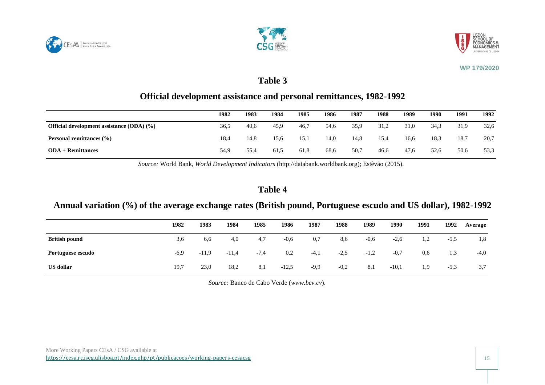





## **Table 3**

## **Official development assistance and personal remittances, 1982-1992**

|                                                | 1982 | 1983 | 1984 | 1985 | 1986 | 1987 | 1988 | 1989 | 1990 | 1991 | 1992 |
|------------------------------------------------|------|------|------|------|------|------|------|------|------|------|------|
| Official development assistance $(ODA)$ $(\%)$ | 36,5 | 40,6 | 45,9 | 46,7 | 54,6 | 35,9 | 31,2 | 31,0 | 34,3 | 31,9 | 32,6 |
| <b>Personal remittances</b> $(\% )$            | 18,4 | 14.8 | 15.6 | 15.1 | 14,0 | 14,8 | 15,4 | 16,6 | 18.3 | 18.7 | 20,7 |
| $ODA + Remittances$                            | 54,9 | 55,4 | 61,5 | 61,8 | 68,6 | 50,7 | 46,6 | 47,6 | 52,6 | 50,6 | 53,3 |

*Source:* World Bank, *World Development Indicators* (http://databank.worldbank.org); Estêvão (2015).

## **Table 4**

## **Annual variation (%) of the average exchange rates (British pound, Portuguese escudo and US dollar), 1982-1992**

|                      | 1982   | 1983    | 1984    | 1985   | 1986    | 1987   | 1988   | 1989   | 1990    | 1991 | 1992   | Average |
|----------------------|--------|---------|---------|--------|---------|--------|--------|--------|---------|------|--------|---------|
| <b>British pound</b> | 3,6    | 6,6     | 4,0     | 4,7    | $-0,6$  | 0,7    | 8,6    | $-0,6$ | $-2,6$  | 1,2  | $-5,5$ | 1,8     |
| Portuguese escudo    | $-6,9$ | $-11.9$ | $-11,4$ | $-7,4$ | 0,2     | $-4,1$ | $-2,5$ | $-1,2$ | $-0,7$  | 0,6  | 1,3    | $-4,0$  |
| <b>US</b> dollar     | 19,7   | 23,0    | 18,2    | 8,1    | $-12.5$ | $-9,9$ | $-0,2$ | 8,1    | $-10,1$ | 1,9  | $-5,3$ | 3,7     |

*Source:* Banco de Cabo Verde (*www.bcv.cv*).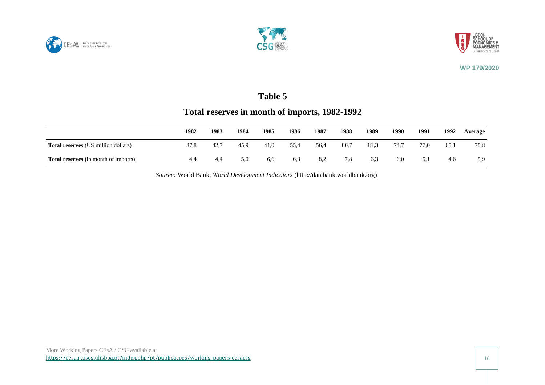





## **Table 5**

## **Total reserves in month of imports, 1982-1992**

|                                             | 1982 | 1983 | 1984 | 1985 | 1986 | 1987 | 1988 | 1989 | 1990 | 1991 | 1992 | Average |
|---------------------------------------------|------|------|------|------|------|------|------|------|------|------|------|---------|
| <b>Total reserves</b> (US million dollars)  | 37,8 | 42.7 | 45.9 | 41,0 | 55,4 | 56,4 | 80,7 | 81,3 | 74.7 | 77,0 | 65.1 | 75,8    |
| <b>Total reserves</b> (in month of imports) | 4.4  | 4.4  | 5.0  | 6,6  | 6,3  | 8,2  | 7,8  | 6,3  | 6.0  | 5,1  | 4.6  | 5,9     |

*Source:* World Bank, *World Development Indicators* (http://databank.worldbank.org)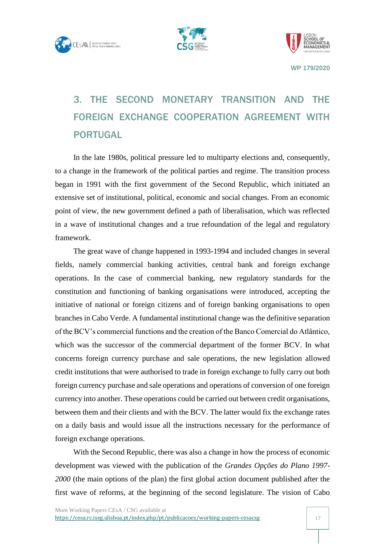





# <span id="page-17-0"></span>3. THE SECOND MONETARY TRANSITION AND THE FOREIGN EXCHANGE COOPERATION AGREEMENT WITH PORTUGAL

In the late 1980s, political pressure led to multiparty elections and, consequently, to a change in the framework of the political parties and regime. The transition process began in 1991 with the first government of the Second Republic, which initiated an extensive set of institutional, political, economic and social changes. From an economic point of view, the new government defined a path of liberalisation, which was reflected in a wave of institutional changes and a true refoundation of the legal and regulatory framework.

The great wave of change happened in 1993-1994 and included changes in several fields, namely commercial banking activities, central bank and foreign exchange operations. In the case of commercial banking, new regulatory standards for the constitution and functioning of banking organisations were introduced, accepting the initiative of national or foreign citizens and of foreign banking organisations to open branches in Cabo Verde. A fundamental institutional change was the definitive separation of the BCV's commercial functions and the creation of the Banco Comercial do Atlântico, which was the successor of the commercial department of the former BCV. In what concerns foreign currency purchase and sale operations, the new legislation allowed credit institutions that were authorised to trade in foreign exchange to fully carry out both foreign currency purchase and sale operations and operations of conversion of one foreign currency into another. These operations could be carried out between credit organisations, between them and their clients and with the BCV. The latter would fix the exchange rates on a daily basis and would issue all the instructions necessary for the performance of foreign exchange operations.

With the Second Republic, there was also a change in how the process of economic development was viewed with the publication of the *Grandes Opções do Plano 1997- 2000* (the main options of the plan) the first global action document published after the first wave of reforms, at the beginning of the second legislature. The vision of Cabo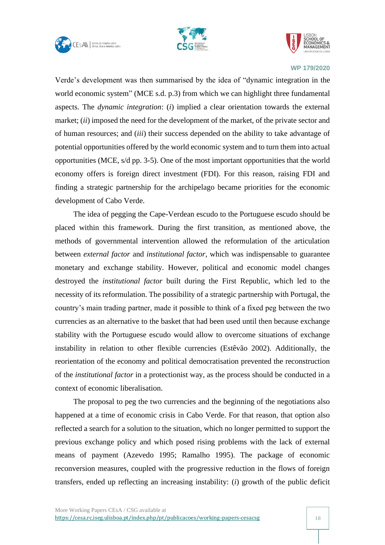





Verde's development was then summarised by the idea of "dynamic integration in the world economic system" (MCE s.d. p.3) from which we can highlight three fundamental aspects. The *dynamic integration*: (*i*) implied a clear orientation towards the external market; (*ii*) imposed the need for the development of the market, of the private sector and of human resources; and (*iii*) their success depended on the ability to take advantage of potential opportunities offered by the world economic system and to turn them into actual opportunities (MCE, s/d pp. 3-5). One of the most important opportunities that the world economy offers is foreign direct investment (FDI). For this reason, raising FDI and finding a strategic partnership for the archipelago became priorities for the economic development of Cabo Verde.

The idea of pegging the Cape-Verdean escudo to the Portuguese escudo should be placed within this framework. During the first transition, as mentioned above, the methods of governmental intervention allowed the reformulation of the articulation between *external factor* and *institutional factor*, which was indispensable to guarantee monetary and exchange stability. However, political and economic model changes destroyed the *institutional factor* built during the First Republic, which led to the necessity of its reformulation. The possibility of a strategic partnership with Portugal, the country's main trading partner, made it possible to think of a fixed peg between the two currencies as an alternative to the basket that had been used until then because exchange stability with the Portuguese escudo would allow to overcome situations of exchange instability in relation to other flexible currencies (Estêvão 2002). Additionally, the reorientation of the economy and political democratisation prevented the reconstruction of the *institutional factor* in a protectionist way, as the process should be conducted in a context of economic liberalisation.

The proposal to peg the two currencies and the beginning of the negotiations also happened at a time of economic crisis in Cabo Verde. For that reason, that option also reflected a search for a solution to the situation, which no longer permitted to support the previous exchange policy and which posed rising problems with the lack of external means of payment (Azevedo 1995; Ramalho 1995). The package of economic reconversion measures, coupled with the progressive reduction in the flows of foreign transfers, ended up reflecting an increasing instability: (*i*) growth of the public deficit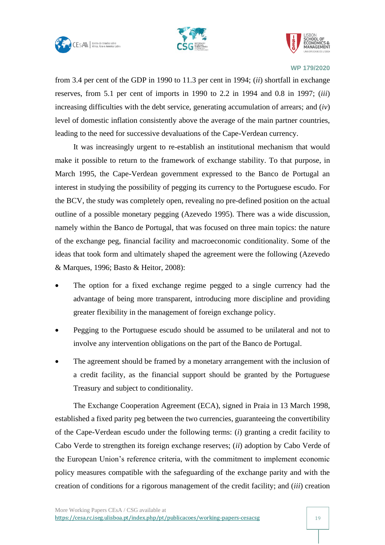





from 3.4 per cent of the GDP in 1990 to 11.3 per cent in 1994; (*ii*) shortfall in exchange reserves, from 5.1 per cent of imports in 1990 to 2.2 in 1994 and 0.8 in 1997; (*iii*) increasing difficulties with the debt service, generating accumulation of arrears; and (*iv*) level of domestic inflation consistently above the average of the main partner countries, leading to the need for successive devaluations of the Cape-Verdean currency.

It was increasingly urgent to re-establish an institutional mechanism that would make it possible to return to the framework of exchange stability. To that purpose, in March 1995, the Cape-Verdean government expressed to the Banco de Portugal an interest in studying the possibility of pegging its currency to the Portuguese escudo. For the BCV, the study was completely open, revealing no pre-defined position on the actual outline of a possible monetary pegging (Azevedo 1995). There was a wide discussion, namely within the Banco de Portugal, that was focused on three main topics: the nature of the exchange peg, financial facility and macroeconomic conditionality. Some of the ideas that took form and ultimately shaped the agreement were the following (Azevedo & Marques, 1996; Basto & Heitor, 2008):

- The option for a fixed exchange regime pegged to a single currency had the advantage of being more transparent, introducing more discipline and providing greater flexibility in the management of foreign exchange policy.
- Pegging to the Portuguese escudo should be assumed to be unilateral and not to involve any intervention obligations on the part of the Banco de Portugal.
- The agreement should be framed by a monetary arrangement with the inclusion of a credit facility, as the financial support should be granted by the Portuguese Treasury and subject to conditionality.

The Exchange Cooperation Agreement (ECA), signed in Praia in 13 March 1998, established a fixed parity peg between the two currencies, guaranteeing the convertibility of the Cape-Verdean escudo under the following terms: (*i*) granting a credit facility to Cabo Verde to strengthen its foreign exchange reserves; (*ii*) adoption by Cabo Verde of the European Union's reference criteria, with the commitment to implement economic policy measures compatible with the safeguarding of the exchange parity and with the creation of conditions for a rigorous management of the credit facility; and (*iii*) creation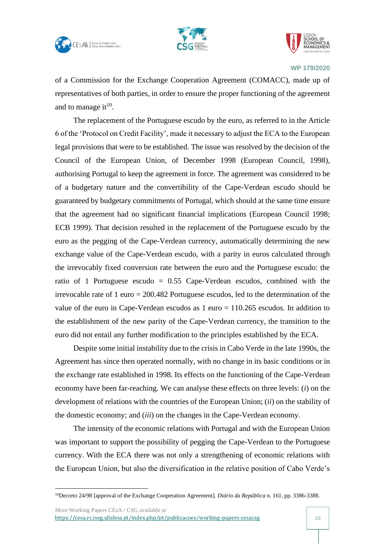





of a Commission for the Exchange Cooperation Agreement (COMACC), made up of representatives of both parties, in order to ensure the proper functioning of the agreement and to manage it $^{10}$ .

The replacement of the Portuguese escudo by the euro, as referred to in the Article 6 of the 'Protocol on Credit Facility', made it necessary to adjust the ECA to the European legal provisions that were to be established. The issue was resolved by the decision of the Council of the European Union, of December 1998 (European Council, 1998), authorising Portugal to keep the agreement in force. The agreement was considered to be of a budgetary nature and the convertibility of the Cape-Verdean escudo should be guaranteed by budgetary commitments of Portugal, which should at the same time ensure that the agreement had no significant financial implications (European Council 1998; ECB 1999). That decision resulted in the replacement of the Portuguese escudo by the euro as the pegging of the Cape-Verdean currency, automatically determining the new exchange value of the Cape-Verdean escudo, with a parity in euros calculated through the irrevocably fixed conversion rate between the euro and the Portuguese escudo: the ratio of 1 Portuguese escudo  $= 0.55$  Cape-Verdean escudos, combined with the irrevocable rate of 1 euro = 200.482 Portuguese escudos, led to the determination of the value of the euro in Cape-Verdean escudos as 1 euro = 110.265 escudos. In addition to the establishment of the new parity of the Cape-Verdean currency, the transition to the euro did not entail any further modification to the principles established by the ECA.

Despite some initial instability due to the crisis in Cabo Verde in the late 1990s, the Agreement has since then operated normally, with no change in its basic conditions or in the exchange rate established in 1998. Its effects on the functioning of the Cape-Verdean economy have been far-reaching. We can analyse these effects on three levels: (*i*) on the development of relations with the countries of the European Union; (*ii*) on the stability of the domestic economy; and (*iii*) on the changes in the Cape-Verdean economy.

The intensity of the economic relations with Portugal and with the European Union was important to support the possibility of pegging the Cape-Verdean to the Portuguese currency. With the ECA there was not only a strengthening of economic relations with the European Union, but also the diversification in the relative position of Cabo Verde's

More Working Papers CEsA / CSG available at <https://cesa.rc.iseg.ulisboa.pt/index.php/pt/publicacoes/working-papers-cesacsg> 20

<sup>10</sup>Decreto 24/98 [approval of the Exchange Cooperation Agreement]. *Diário da República* n. 161, pp. 3386-3388.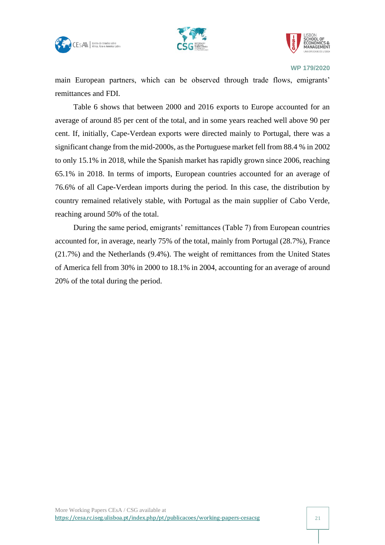





main European partners, which can be observed through trade flows, emigrants' remittances and FDI.

Table 6 shows that between 2000 and 2016 exports to Europe accounted for an average of around 85 per cent of the total, and in some years reached well above 90 per cent. If, initially, Cape-Verdean exports were directed mainly to Portugal, there was a significant change from the mid-2000s, as the Portuguese market fell from 88.4 % in 2002 to only 15.1% in 2018, while the Spanish market has rapidly grown since 2006, reaching 65.1% in 2018. In terms of imports, European countries accounted for an average of 76.6% of all Cape-Verdean imports during the period. In this case, the distribution by country remained relatively stable, with Portugal as the main supplier of Cabo Verde, reaching around 50% of the total.

During the same period, emigrants' remittances (Table 7) from European countries accounted for, in average, nearly 75% of the total, mainly from Portugal (28.7%), France (21.7%) and the Netherlands (9.4%). The weight of remittances from the United States of America fell from 30% in 2000 to 18.1% in 2004, accounting for an average of around 20% of the total during the period.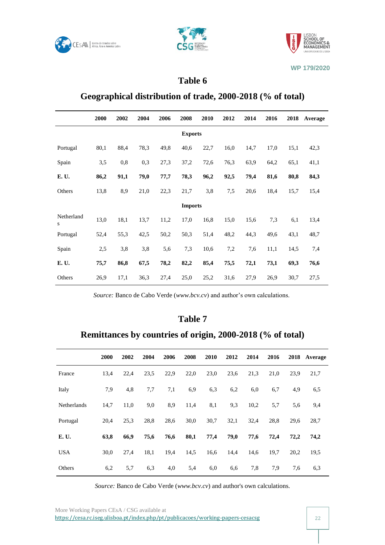





## **Table 6**

#### **Geographical distribution of trade, 2000-2018 (% of total)**

|                 | 2000 | 2002 | 2004 | 2006 | 2008           | 2010 | 2012 | 2014 | 2016 | 2018 | Average |  |
|-----------------|------|------|------|------|----------------|------|------|------|------|------|---------|--|
| <b>Exports</b>  |      |      |      |      |                |      |      |      |      |      |         |  |
| Portugal        | 80,1 | 88,4 | 78,3 | 49,8 | 40,6           | 22,7 | 16,0 | 14,7 | 17,0 | 15,1 | 42,3    |  |
| Spain           | 3,5  | 0,8  | 0,3  | 27,3 | 37,2           | 72,6 | 76,3 | 63,9 | 64,2 | 65,1 | 41,1    |  |
| E. U.           | 86,2 | 91,1 | 79,0 | 77,7 | 78,3           | 96,2 | 92,5 | 79,4 | 81,6 | 80,8 | 84,3    |  |
| Others          | 13,8 | 8,9  | 21,0 | 22,3 | 21,7           | 3,8  | 7,5  | 20,6 | 18,4 | 15,7 | 15,4    |  |
|                 |      |      |      |      | <b>Imports</b> |      |      |      |      |      |         |  |
| Netherland<br>S | 13,0 | 18,1 | 13,7 | 11,2 | 17,0           | 16,8 | 15,0 | 15,6 | 7,3  | 6,1  | 13,4    |  |
| Portugal        | 52,4 | 55,3 | 42,5 | 50,2 | 50,3           | 51,4 | 48,2 | 44,3 | 49,6 | 43,1 | 48,7    |  |
| Spain           | 2,5  | 3,8  | 3,8  | 5,6  | 7,3            | 10,6 | 7,2  | 7,6  | 11,1 | 14,5 | 7,4     |  |
| E. U.           | 75,7 | 86,8 | 67,5 | 78,2 | 82,2           | 85,4 | 75,5 | 72,1 | 73,1 | 69,3 | 76,6    |  |
| Others          | 26,9 | 17,1 | 36,3 | 27,4 | 25,0           | 25,2 | 31,6 | 27,9 | 26,9 | 30,7 | 27,5    |  |

*Source:* Banco de Cabo Verde (*www.bcv.cv*) and author's own calculations.

#### **Table 7**

## **Remittances by countries of origin, 2000-2018 (% of total)**

|             | 2000 | 2002 | 2004 | 2006 | 2008 | 2010 | 2012 | 2014 | 2016 | 2018 | Average |
|-------------|------|------|------|------|------|------|------|------|------|------|---------|
| France      | 13,4 | 22,4 | 23,5 | 22,9 | 22,0 | 23,0 | 23,6 | 21,3 | 21,0 | 23,9 | 21,7    |
| Italy       | 7,9  | 4,8  | 7,7  | 7,1  | 6,9  | 6,3  | 6,2  | 6,0  | 6,7  | 4,9  | 6,5     |
| Netherlands | 14,7 | 11,0 | 9,0  | 8,9  | 11,4 | 8,1  | 9,3  | 10,2 | 5,7  | 5,6  | 9,4     |
| Portugal    | 20,4 | 25,3 | 28,8 | 28,6 | 30,0 | 30,7 | 32,1 | 32,4 | 28,8 | 29,6 | 28,7    |
| E. U.       | 63,8 | 66,9 | 75,6 | 76,6 | 80,1 | 77,4 | 79,0 | 77,6 | 72,4 | 72,2 | 74,2    |
| <b>USA</b>  | 30,0 | 27,4 | 18,1 | 19,4 | 14,5 | 16,6 | 14,4 | 14,6 | 19,7 | 20,2 | 19,5    |
| Others      | 6,2  | 5,7  | 6,3  | 4,0  | 5,4  | 6,0  | 6,6  | 7,8  | 7,9  | 7,6  | 6,3     |

*Source:* Banco de Cabo Verde (*www.bcv.cv*) and author's own calculations.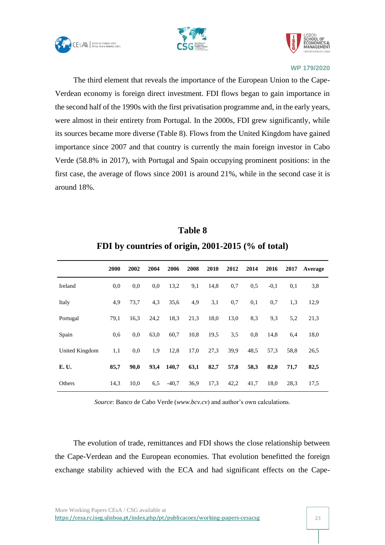





The third element that reveals the importance of the European Union to the Cape-Verdean economy is foreign direct investment. FDI flows began to gain importance in the second half of the 1990s with the first privatisation programme and, in the early years, were almost in their entirety from Portugal. In the 2000s, FDI grew significantly, while its sources became more diverse (Table 8). Flows from the United Kingdom have gained importance since 2007 and that country is currently the main foreign investor in Cabo Verde (58.8% in 2017), with Portugal and Spain occupying prominent positions: in the first case, the average of flows since 2001 is around 21%, while in the second case it is around 18%.

|                | 2000 | 2002 | 2004 | 2006    | 2008 | 2010 | 2012 | 2014 | 2016   | 2017 | Average |
|----------------|------|------|------|---------|------|------|------|------|--------|------|---------|
| Ireland        | 0.0  | 0,0  | 0,0  | 13,2    | 9,1  | 14,8 | 0,7  | 0.5  | $-0,1$ | 0,1  | 3,8     |
| Italy          | 4,9  | 73,7 | 4,3  | 35,6    | 4,9  | 3,1  | 0,7  | 0,1  | 0,7    | 1,3  | 12,9    |
| Portugal       | 79,1 | 16,3 | 24,2 | 18,3    | 21,3 | 18,0 | 13,0 | 8.3  | 9.3    | 5,2  | 21,3    |
| Spain          | 0.6  | 0,0  | 63,0 | 60,7    | 10,8 | 19,5 | 3,5  | 0.8  | 14,8   | 6,4  | 18,0    |
| United Kingdom | 1,1  | 0,0  | 1,9  | 12,8    | 17,0 | 27,3 | 39,9 | 48,5 | 57,3   | 58,8 | 26,5    |
| E. U.          | 85,7 | 90,0 | 93,4 | 140,7   | 63,1 | 82,7 | 57,8 | 58,3 | 82,0   | 71,7 | 82,5    |
| Others         | 14,3 | 10,0 | 6,5  | $-40.7$ | 36,9 | 17,3 | 42,2 | 41,7 | 18,0   | 28,3 | 17,5    |

**Table 8 FDI by countries of origin, 2001-2015 (% of total)**

*Source*: Banco de Cabo Verde (*www.bcv.cv*) and author's own calculations.

The evolution of trade, remittances and FDI shows the close relationship between the Cape-Verdean and the European economies. That evolution benefitted the foreign exchange stability achieved with the ECA and had significant effects on the Cape-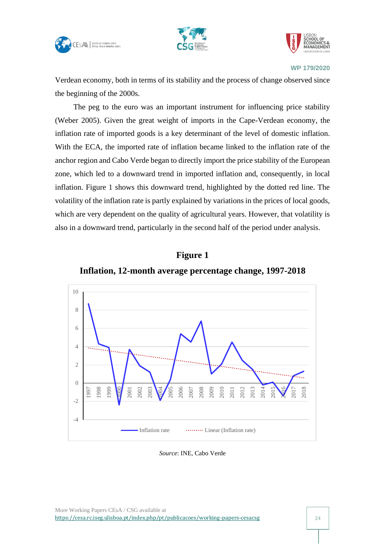





Verdean economy, both in terms of its stability and the process of change observed since the beginning of the 2000s.

The peg to the euro was an important instrument for influencing price stability (Weber 2005). Given the great weight of imports in the Cape-Verdean economy, the inflation rate of imported goods is a key determinant of the level of domestic inflation. With the ECA, the imported rate of inflation became linked to the inflation rate of the anchor region and Cabo Verde began to directly import the price stability of the European zone, which led to a downward trend in imported inflation and, consequently, in local inflation. Figure 1 shows this downward trend, highlighted by the dotted red line. The volatility of the inflation rate is partly explained by variations in the prices of local goods, which are very dependent on the quality of agricultural years. However, that volatility is also in a downward trend, particularly in the second half of the period under analysis.

## **Figure 1**

**Inflation, 12-month average percentage change, 1997-2018**



*Source*: INE, Cabo Verde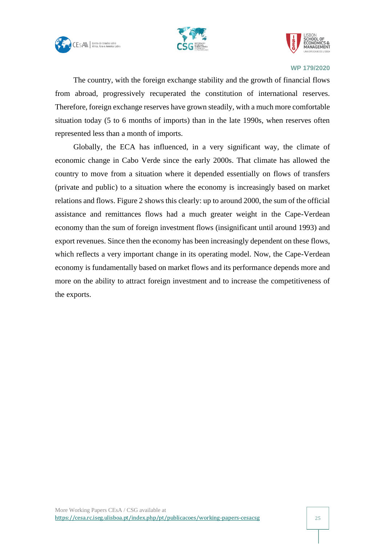





The country, with the foreign exchange stability and the growth of financial flows from abroad, progressively recuperated the constitution of international reserves. Therefore, foreign exchange reserves have grown steadily, with a much more comfortable situation today (5 to 6 months of imports) than in the late 1990s, when reserves often represented less than a month of imports.

Globally, the ECA has influenced, in a very significant way, the climate of economic change in Cabo Verde since the early 2000s. That climate has allowed the country to move from a situation where it depended essentially on flows of transfers (private and public) to a situation where the economy is increasingly based on market relations and flows. Figure 2 shows this clearly: up to around 2000, the sum of the official assistance and remittances flows had a much greater weight in the Cape-Verdean economy than the sum of foreign investment flows (insignificant until around 1993) and export revenues. Since then the economy has been increasingly dependent on these flows, which reflects a very important change in its operating model. Now, the Cape-Verdean economy is fundamentally based on market flows and its performance depends more and more on the ability to attract foreign investment and to increase the competitiveness of the exports.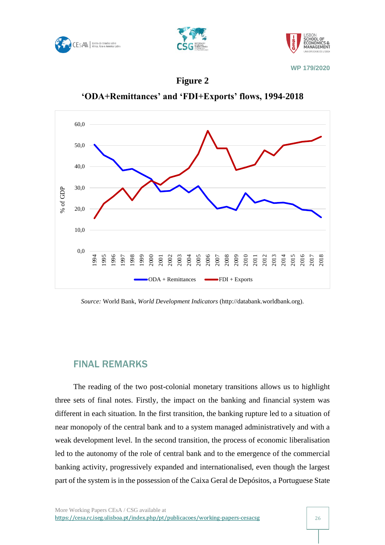





### **Figure 2**

**'ODA+Remittances' and 'FDI+Exports' flows, 1994-2018**



*Source:* World Bank, *World Development Indicators* (http://databank.worldbank.org).

## <span id="page-26-0"></span>FINAL REMARKS

The reading of the two post-colonial monetary transitions allows us to highlight three sets of final notes. Firstly, the impact on the banking and financial system was different in each situation. In the first transition, the banking rupture led to a situation of near monopoly of the central bank and to a system managed administratively and with a weak development level. In the second transition, the process of economic liberalisation led to the autonomy of the role of central bank and to the emergence of the commercial banking activity, progressively expanded and internationalised, even though the largest part of the system is in the possession of the Caixa Geral de Depósitos, a Portuguese State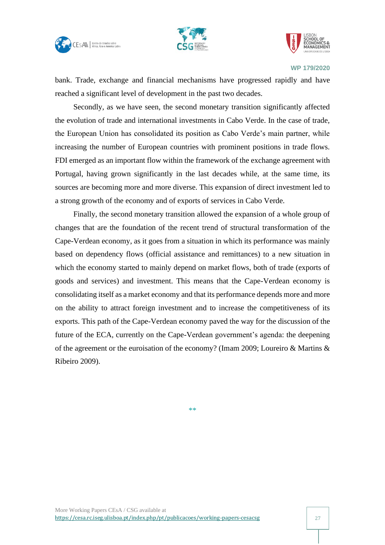





bank. Trade, exchange and financial mechanisms have progressed rapidly and have reached a significant level of development in the past two decades.

Secondly, as we have seen, the second monetary transition significantly affected the evolution of trade and international investments in Cabo Verde. In the case of trade, the European Union has consolidated its position as Cabo Verde's main partner, while increasing the number of European countries with prominent positions in trade flows. FDI emerged as an important flow within the framework of the exchange agreement with Portugal, having grown significantly in the last decades while, at the same time, its sources are becoming more and more diverse. This expansion of direct investment led to a strong growth of the economy and of exports of services in Cabo Verde.

Finally, the second monetary transition allowed the expansion of a whole group of changes that are the foundation of the recent trend of structural transformation of the Cape-Verdean economy, as it goes from a situation in which its performance was mainly based on dependency flows (official assistance and remittances) to a new situation in which the economy started to mainly depend on market flows, both of trade (exports of goods and services) and investment. This means that the Cape-Verdean economy is consolidating itself as a market economy and that its performance depends more and more on the ability to attract foreign investment and to increase the competitiveness of its exports. This path of the Cape-Verdean economy paved the way for the discussion of the future of the ECA, currently on the Cape-Verdean government's agenda: the deepening of the agreement or the euroisation of the economy? (Imam 2009; Loureiro & Martins & Ribeiro 2009).

\*\*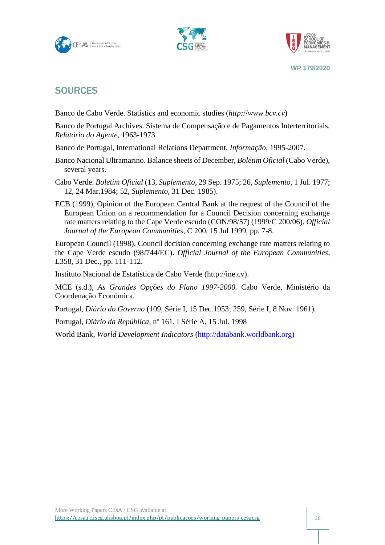





## <span id="page-28-0"></span>**SOURCES**

Banco de Cabo Verde. Statistics and economic studies (*http:*//*www.bcv.cv*)

Banco de Portugal Archives. Sistema de Compensação e de Pagamentos Interterritoriais, *Relatório do Agente*, 1963-1973.

Banco de Portugal, International Relations Department. *Informação*, 1995-2007.

- Banco Nacional Ultramarino. Balance sheets of December, *Boletim Oficial* (Cabo Verde), several years.
- Cabo Verde. *Boletim Oficial* (13, *Suplemento*, 29 Sep. 1975; 26, *Suplemento*, 1 Jul. 1977; 12, 24 Mar.1984; 52, *Suplemento*, 31 Dec. 1985).
- ECB (1999), Opinion of the European Central Bank at the request of the Council of the European Union on a recommendation for a Council Decision concerning exchange rate matters relating to the Cape Verde escudo (CON/98/57) (1999/C 200/06). *Official Journal of the European Communities*, C 200, 15 Jul 1999, pp. 7-8.

European Council (1998), Council decision concerning exchange rate matters relating to the Cape Verde escudo (98/744/EC). *Official Journal of the European Communities*, L358, 31 Dec., pp. 111-112.

Instituto Nacional de Estatística de Cabo Verde (http://ine.cv).

MCE (s.d.), *As Grandes Opções do Plano 1997-2000.* Cabo Verde, Ministério da Coordenação Económica.

Portugal, *Diário do Governo* (109, Série I, 15 Dec.1953; 259, Série I, 8 Nov. 1961).

Portugal, *Diário da República*, nº 161, I Série A, 15 Jul. 1998

World Bank, *World Development Indicators* [\(http://databank.worldbank.org\)](http://databank.worldbank.org/)